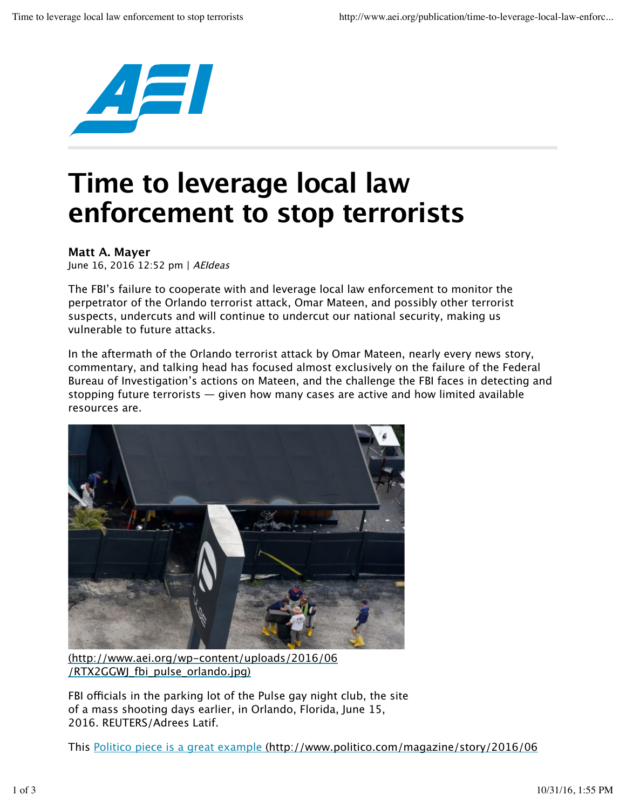

## **Time to leverage local law enforcement to stop terrorists**

## **Matt A. Mayer**

June 16, 2016 12:52 pm | AEIdeas

The FBI's failure to cooperate with and leverage local law enforcement to monitor the perpetrator of the Orlando terrorist attack, Omar Mateen, and possibly other terrorist suspects, undercuts and will continue to undercut our national security, making us vulnerable to future attacks.

In the aftermath of the Orlando terrorist attack by Omar Mateen, nearly every news story, commentary, and talking head has focused almost exclusively on the failure of the Federal Bureau of Investigation's actions on Mateen, and the challenge the FBI faces in detecting and stopping future terrorists — given how many cases are active and how limited available resources are.



(http://www.aei.org/wp-content/uploads/2016/06 /RTX2GGWJ\_fbi\_pulse\_orlando.jpg)

FBI officials in the parking lot of the Pulse gay night club, the site of a mass shooting days earlier, in Orlando, Florida, June 15, 2016. REUTERS/Adrees Latif.

This Politico piece is a great example (http://www.politico.com/magazine/story/2016/06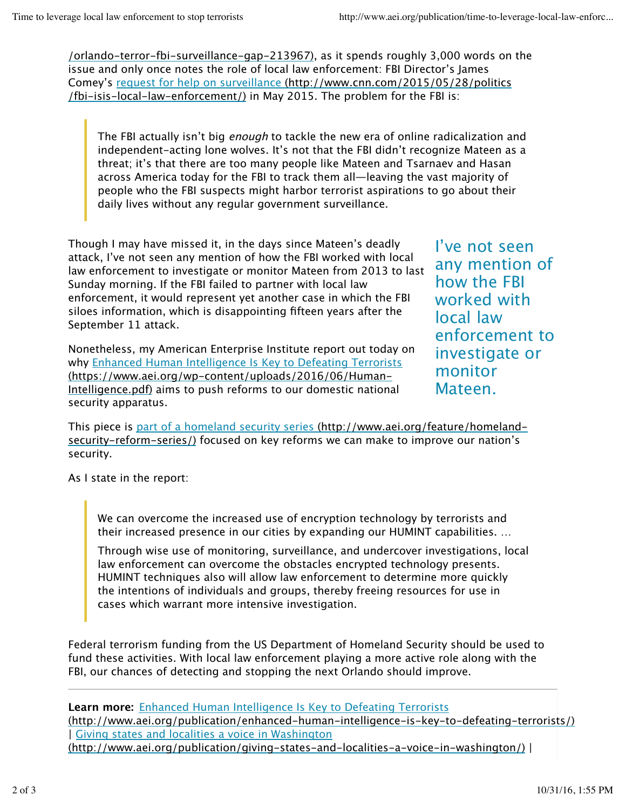/orlando-terror-fbi-surveillance-gap-213967), as it spends roughly 3,000 words on the issue and only once notes the role of local law enforcement: FBI Director's James Comey's request for help on surveillance (http://www.cnn.com/2015/05/28/politics /fbi-isis-local-law-enforcement/) in May 2015. The problem for the FBI is:

The FBI actually isn't big *enough* to tackle the new era of online radicalization and independent-acting lone wolves. It's not that the FBI didn't recognize Mateen as a threat; it's that there are too many people like Mateen and Tsarnaev and Hasan across America today for the FBI to track them all—leaving the vast majority of people who the FBI suspects might harbor terrorist aspirations to go about their daily lives without any regular government surveillance.

Though I may have missed it, in the days since Mateen's deadly attack, I've not seen any mention of how the FBI worked with local law enforcement to investigate or monitor Mateen from 2013 to last Sunday morning. If the FBI failed to partner with local law enforcement, it would represent yet another case in which the FBI siloes information, which is disappointing fifteen years after the September 11 attack.

Nonetheless, my American Enterprise Institute report out today on why Enhanced Human Intelligence Is Key to Defeating Terrorists (https://www.aei.org/wp-content/uploads/2016/06/Human-Intelligence.pdf) aims to push reforms to our domestic national security apparatus.

I've not seen any mention of how the FBI worked with local law enforcement to investigate or monitor Mateen.

This piece is part of a homeland security series (http://www.aei.org/feature/homelandsecurity-reform-series/) focused on key reforms we can make to improve our nation's security.

As I state in the report:

We can overcome the increased use of encryption technology by terrorists and their increased presence in our cities by expanding our HUMINT capabilities. …

Through wise use of monitoring, surveillance, and undercover investigations, local law enforcement can overcome the obstacles encrypted technology presents. HUMINT techniques also will allow law enforcement to determine more quickly the intentions of individuals and groups, thereby freeing resources for use in cases which warrant more intensive investigation.

Federal terrorism funding from the US Department of Homeland Security should be used to fund these activities. With local law enforcement playing a more active role along with the FBI, our chances of detecting and stopping the next Orlando should improve.

**Learn more:** Enhanced Human Intelligence Is Key to Defeating Terrorists (http://www.aei.org/publication/enhanced-human-intelligence-is-key-to-defeating-terrorists/) | Giving states and localities a voice in Washington (http://www.aei.org/publication/giving-states-and-localities-a-voice-in-washington/) |